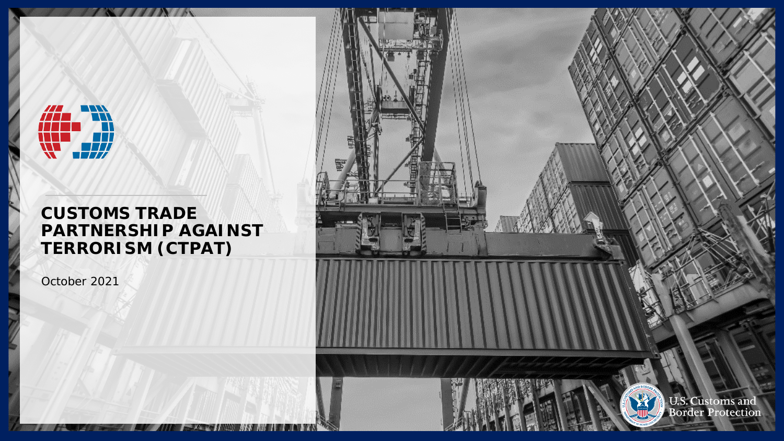

### **CUSTOMS TRADE PARTNERSHIP AGAINST TERRORISM (CTPAT)**

**AND THE** 

 $INI$ 

October 2021

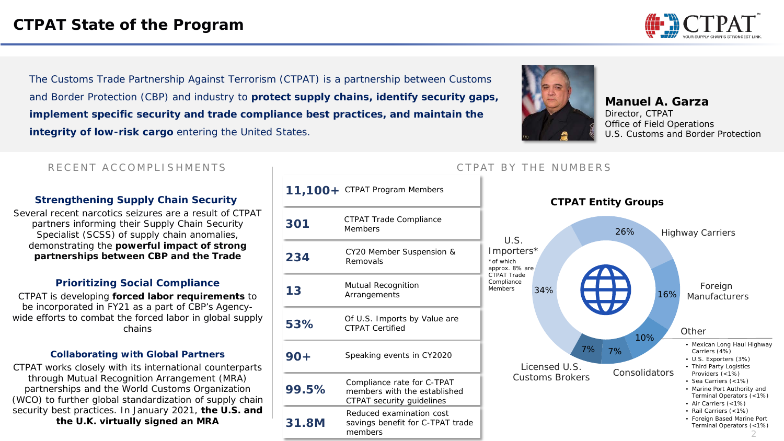

The Customs Trade Partnership Against Terrorism (CTPAT) is a partnership between Customs and Border Protection (CBP) and industry to **protect supply chains, identify security gaps, implement specific security and trade compliance best practices, and maintain the integrity of low-risk cargo** entering the United States.



**Manuel A. Garza** *Director, CTPAT Office of Field Operations U.S. Customs and Border Protection*

#### RECENT ACCOMPLISHMENTS THE RUMBERS CTPAT BY THE NUMBERS

#### **Strengthening Supply Chain Security**

Several recent narcotics seizures are a result of CTPAT partners informing their Supply Chain Security Specialist (SCSS) of supply chain anomalies, demonstrating the **powerful impact of strong partnerships between CBP and the Trade**

#### **Prioritizing Social Compliance**

CTPAT is developing **forced labor requirements** to be incorporated in FY21 as a part of CBP's Agencywide efforts to combat the forced labor in global supply chains

#### **Collaborating with Global Partners**

CTPAT works closely with its international counterparts through Mutual Recognition Arrangement (MRA) partnerships and the World Customs Organization (WCO) to further global standardization of supply chain security best practices. In January 2021, **the U.S. and the U.K. virtually signed an MRA**

|        | 11,100+ CTPAT Program Members                                                           |  |
|--------|-----------------------------------------------------------------------------------------|--|
| 301    | CTPAT Trade Compliance<br><b>Members</b>                                                |  |
| 234    | CY20 Member Suspension &<br>Removals                                                    |  |
| 13     | Mutual Recognition<br>Arrangements                                                      |  |
| 53%    | Of U.S. Imports by Value are<br><b>CTPAT Certified</b>                                  |  |
| $90 +$ | Speaking events in CY2020                                                               |  |
| 99.5%  | Compliance rate for C-TPAT<br>members with the established<br>CTPAT security guidelines |  |
| 31.8M  | Reduced examination cost<br>savings benefit for C-TPAT trade<br>members                 |  |

2 34% 26% 16% 10% 7% 7% *U.S. Importers\* Highway Carriers Foreign Manufacturers Consolidators Licensed U.S. Customs Brokers Other* • *Mexican Long Haul Highway Carriers (4%)* • *U.S. Exporters (3%)* • *Third Party Logistics Providers (<1%)* • *Sea Carriers (<1%)* • *Marine Port Authority and Terminal Operators (<1%)* • *Air Carriers (<1%)* • *Rail Carriers (<1%)* • *Foreign Based Marine Port Terminal Operators (<1%) \*of which approx. 8% are CTPAT Trade Compliance Members*

**CTPAT Entity Groups**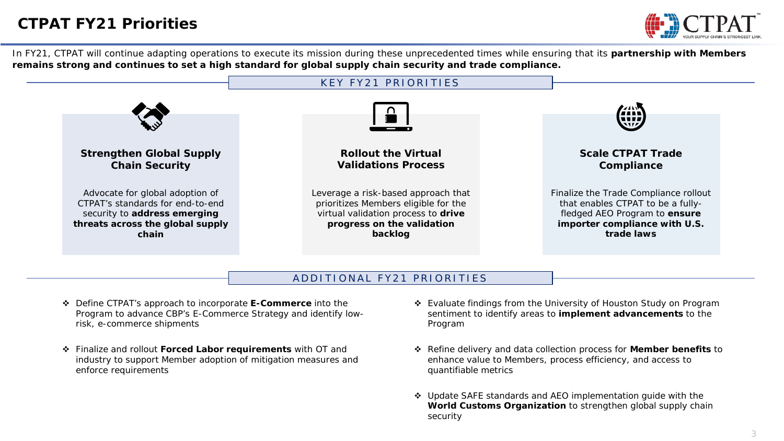

In FY21, CTPAT will continue adapting operations to execute its mission during these unprecedented times while ensuring that its **partnership with Members remains strong and continues to set a high standard for global supply chain security and trade compliance.** 



#### ADDITIONAL FY21 PRIORITIES

- Define CTPAT's approach to incorporate **E-Commerce** into the Program to advance CBP's E-Commerce Strategy and identify lowrisk, e-commerce shipments
- Finalize and rollout **Forced Labor requirements** with OT and industry to support Member adoption of mitigation measures and enforce requirements
- Evaluate findings from the University of Houston Study on Program sentiment to identify areas to **implement advancements** to the Program
- Refine delivery and data collection process for **Member benefits** to enhance value to Members, process efficiency, and access to quantifiable metrics
- Update SAFE standards and AEO implementation guide with the **World Customs Organization** to strengthen global supply chain security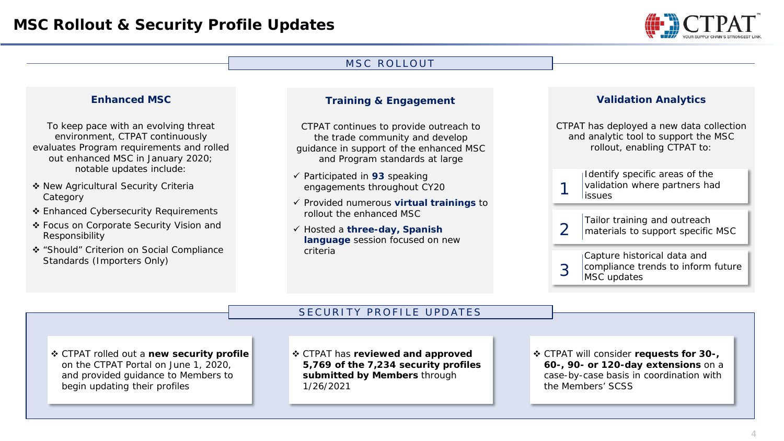

#### **Enhanced MSC** *To keep pace with an evolving threat environment, CTPAT continuously evaluates Program requirements and rolled out enhanced MSC in January 2020; notable updates include:*  ◆ New Agricultural Security Criteria Category ❖ Enhanced Cybersecurity Requirements Focus on Corporate Security Vision and Responsibility "Should" Criterion on Social Compliance Standards (Importers Only) **Training & Engagement** *CTPAT continues to provide outreach to the trade community and develop guidance in support of the enhanced MSC and Program standards at large* Participated in **93** speaking engagements throughout CY20 Provided numerous **virtual trainings** to rollout the enhanced MSC Hosted a **three-day, Spanish language** session focused on new criteria **Validation Analytics** *CTPAT has deployed a new data collection and analytic tool to support the MSC rollout, enabling CTPAT to:*  Identify specific areas of the validation where partners had<br>1 issues Tailor training and outreach materials to support specific MSC Capture historical data and 3 compliance trends to inform future<br>MSC updates MSC ROLLOUT SECURITY PROFILE UPDATES CTPAT rolled out a **new security profile**  on the CTPAT Portal on June 1, 2020, and provided guidance to Members to begin updating their profiles CTPAT will consider **requests for 30-, 60-, 90- or 120-day extensions** on a case-by-case basis in coordination with the Members' SCSS CTPAT has **reviewed and approved 5,769 of the 7,234 security profiles submitted by Members** through 1/26/2021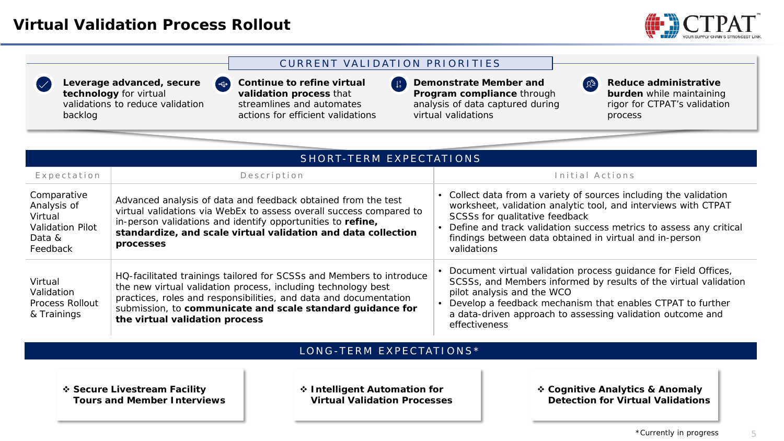$\left( \begin{array}{c} 1 \ -1 \ 1 \end{array} \right)$ 





**Leverage advanced, secure technology** for virtual validations to reduce validation backlog

**Continue to refine virtual validation process** that streamlines and automates actions for efficient validations

**Demonstrate Member and**   $\begin{pmatrix} 1 \\ 2 \end{pmatrix}$ **Program compliance** through analysis of data captured during virtual validations

**Reduce administrative burden** while maintaining rigor for CTPAT's validation process

 $\left( \mathcal{L} \right)$ 

| SHORT-TERM EXPECTATIONS                                                                |                                                                                                                                                                                                                                                                                                            |                                                                                                                                                                                                                                                                                                                       |  |  |  |  |
|----------------------------------------------------------------------------------------|------------------------------------------------------------------------------------------------------------------------------------------------------------------------------------------------------------------------------------------------------------------------------------------------------------|-----------------------------------------------------------------------------------------------------------------------------------------------------------------------------------------------------------------------------------------------------------------------------------------------------------------------|--|--|--|--|
| Expectation                                                                            | Description                                                                                                                                                                                                                                                                                                | Initial Actions                                                                                                                                                                                                                                                                                                       |  |  |  |  |
| Comparative<br>Analysis of<br>Virtual<br><b>Validation Pilot</b><br>Data &<br>Feedback | Advanced analysis of data and feedback obtained from the test<br>virtual validations via WebEx to assess overall success compared to<br>in-person validations and identify opportunities to refine,<br>standardize, and scale virtual validation and data collection<br>processes                          | • Collect data from a variety of sources including the validation<br>worksheet, validation analytic tool, and interviews with CTPAT<br>SCSSs for qualitative feedback<br>Define and track validation success metrics to assess any critical<br>findings between data obtained in virtual and in-person<br>validations |  |  |  |  |
| Virtual<br>Validation<br><b>Process Rollout</b><br>& Trainings                         | HQ-facilitated trainings tailored for SCSSs and Members to introduce<br>the new virtual validation process, including technology best<br>practices, roles and responsibilities, and data and documentation<br>submission, to communicate and scale standard guidance for<br>the virtual validation process | Document virtual validation process guidance for Field Offices,<br>SCSSs, and Members informed by results of the virtual validation<br>pilot analysis and the WCO<br>Develop a feedback mechanism that enables CTPAT to further<br>a data-driven approach to assessing validation outcome and<br>effectiveness        |  |  |  |  |

#### LONG -TERM EXPECTATIONS\*

 **Secure Livestream Facility Tours and Member Interviews**  **Intelligent Automation for Virtual Validation Processes**  **Cognitive Analytics & Anomaly Detection for Virtual Validations**

5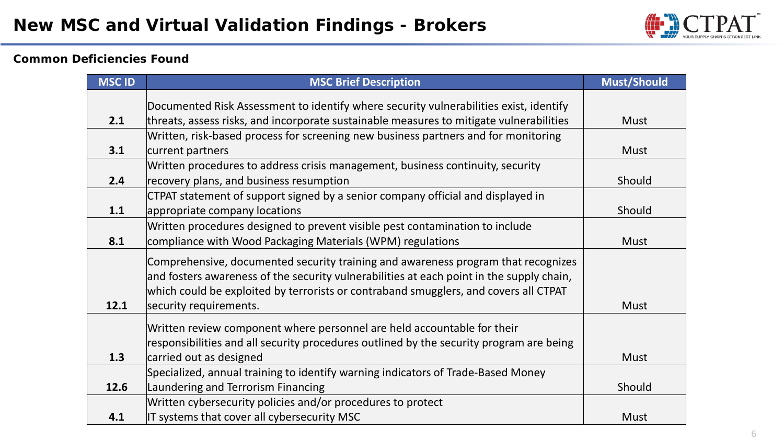

#### **Common Deficiencies Found**

| <b>MSC ID</b> | <b>MSC Brief Description</b>                                                                                                                                                                                                                                                                    | <b>Must/Should</b> |
|---------------|-------------------------------------------------------------------------------------------------------------------------------------------------------------------------------------------------------------------------------------------------------------------------------------------------|--------------------|
|               | Documented Risk Assessment to identify where security vulnerabilities exist, identify                                                                                                                                                                                                           |                    |
| 2.1           | threats, assess risks, and incorporate sustainable measures to mitigate vulnerabilities                                                                                                                                                                                                         | Must               |
|               | Written, risk-based process for screening new business partners and for monitoring                                                                                                                                                                                                              |                    |
| 3.1           | current partners                                                                                                                                                                                                                                                                                | <b>Must</b>        |
| 2.4           | Written procedures to address crisis management, business continuity, security<br>recovery plans, and business resumption                                                                                                                                                                       | Should             |
| 1.1           | CTPAT statement of support signed by a senior company official and displayed in<br>appropriate company locations                                                                                                                                                                                | Should             |
| 8.1           | Written procedures designed to prevent visible pest contamination to include<br>compliance with Wood Packaging Materials (WPM) regulations                                                                                                                                                      | <b>Must</b>        |
| 12.1          | Comprehensive, documented security training and awareness program that recognizes<br>and fosters awareness of the security vulnerabilities at each point in the supply chain,<br>which could be exploited by terrorists or contraband smugglers, and covers all CTPAT<br>security requirements. | <b>Must</b>        |
| 1.3           | Written review component where personnel are held accountable for their<br>responsibilities and all security procedures outlined by the security program are being<br>carried out as designed                                                                                                   | <b>Must</b>        |
| 12.6          | Specialized, annual training to identify warning indicators of Trade-Based Money<br>Laundering and Terrorism Financing                                                                                                                                                                          | Should             |
| 4.1           | Written cybersecurity policies and/or procedures to protect<br>IT systems that cover all cybersecurity MSC                                                                                                                                                                                      | <b>Must</b>        |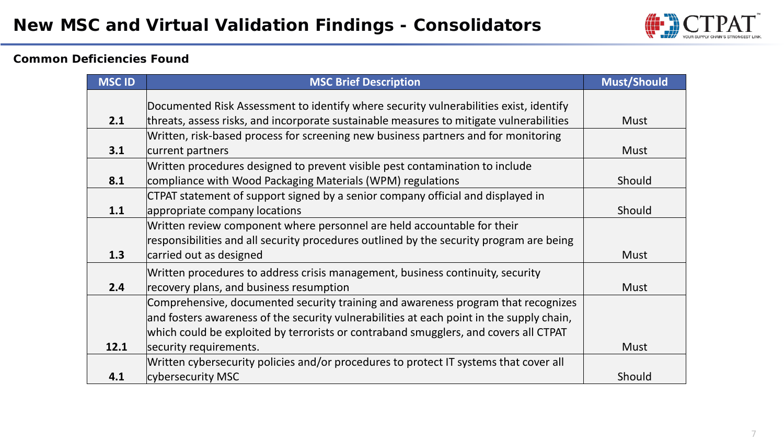

#### **Common Deficiencies Found**

| <b>MSC ID</b> | <b>MSC Brief Description</b>                                                             | <b>Must/Should</b> |
|---------------|------------------------------------------------------------------------------------------|--------------------|
|               | Documented Risk Assessment to identify where security vulnerabilities exist, identify    |                    |
| 2.1           | threats, assess risks, and incorporate sustainable measures to mitigate vulnerabilities  | <b>Must</b>        |
|               | Written, risk-based process for screening new business partners and for monitoring       |                    |
| 3.1           | current partners                                                                         | <b>Must</b>        |
|               | Written procedures designed to prevent visible pest contamination to include             |                    |
| 8.1           | compliance with Wood Packaging Materials (WPM) regulations                               | Should             |
|               | CTPAT statement of support signed by a senior company official and displayed in          |                    |
| 1.1           | appropriate company locations                                                            | Should             |
|               | Written review component where personnel are held accountable for their                  |                    |
|               | responsibilities and all security procedures outlined by the security program are being  |                    |
| 1.3           | carried out as designed                                                                  | <b>Must</b>        |
|               | Written procedures to address crisis management, business continuity, security           |                    |
| 2.4           | recovery plans, and business resumption                                                  | <b>Must</b>        |
|               | Comprehensive, documented security training and awareness program that recognizes        |                    |
|               | and fosters awareness of the security vulnerabilities at each point in the supply chain, |                    |
|               | which could be exploited by terrorists or contraband smugglers, and covers all CTPAT     |                    |
| 12.1          | security requirements.                                                                   | <b>Must</b>        |
|               | Written cybersecurity policies and/or procedures to protect IT systems that cover all    |                    |
| 4.1           | cybersecurity MSC                                                                        | Should             |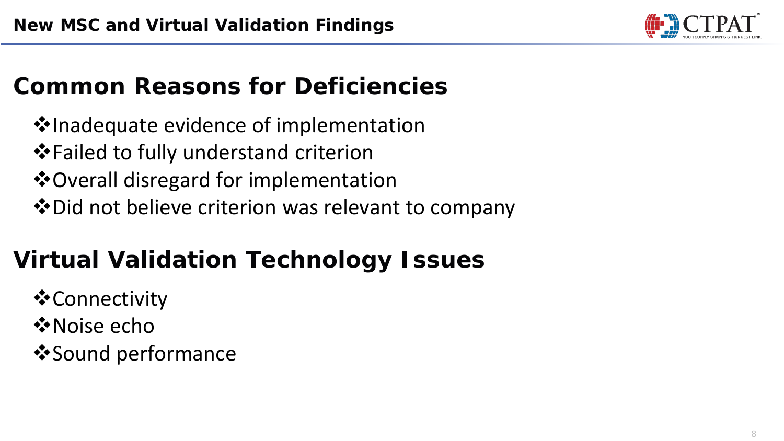

## **Common Reasons for Deficiencies**

**V**Inadequate evidence of implementation  $\dots$  Failed to fully understand criterion  $\dots$  Overall disregard for implementation Did not believe criterion was relevant to company

# **Virtual Validation Technology Issues**

- **☆Connectivity**
- **☆ Noise echo**
- $\dots$ **Sound performance**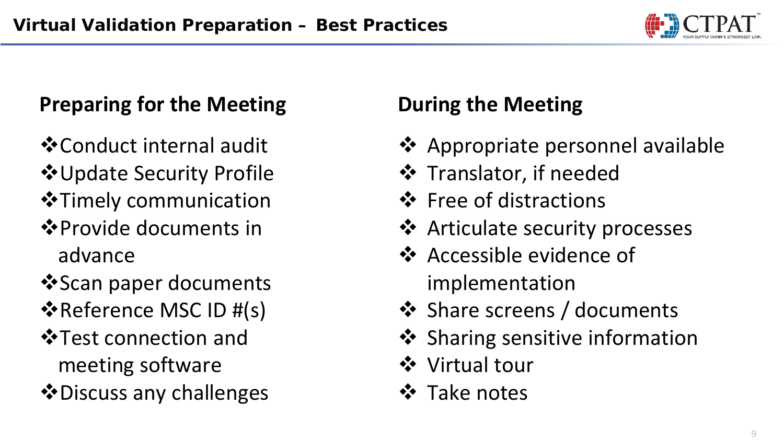

### **Preparing for the Meeting**

- Conduct internal audit
- $\dots$ **Update Security Profile**
- $\triangle$  Timely communication
- $♦$  **Provide documents in** advance
- **Scan paper documents**
- $\triangle$ **Reference MSC ID #(s)**
- $\triangle$  **Test connection and** meeting software
- $\triangle$  Discuss any challenges

# **During the Meeting**

- **❖** Appropriate personnel available
- **❖** Translator, if needed
- ❖ Free of distractions
- ❖ Articulate security processes
- **☆** Accessible evidence of implementation
- ❖ Share screens / documents
- ❖ Sharing sensitive information
- Virtual tour
- **❖** Take notes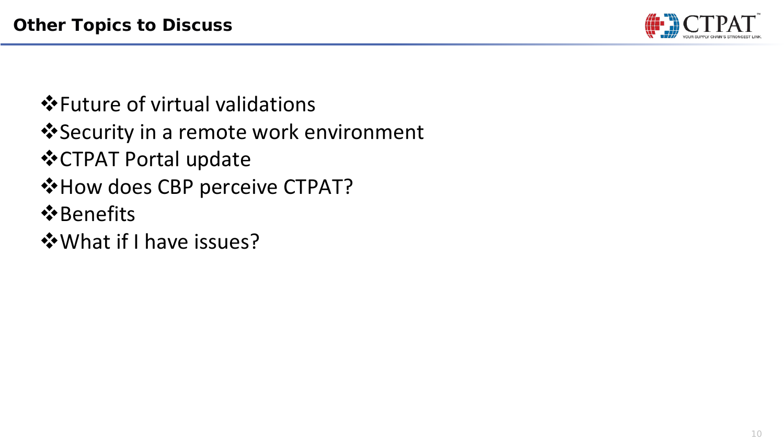

- $\triangle$ **Future of virtual validations**
- ❖ Security in a remote work environment
- CTPAT Portal update
- $*$  **How does CBP perceive CTPAT?**
- **☆**Benefits
- What if I have issues?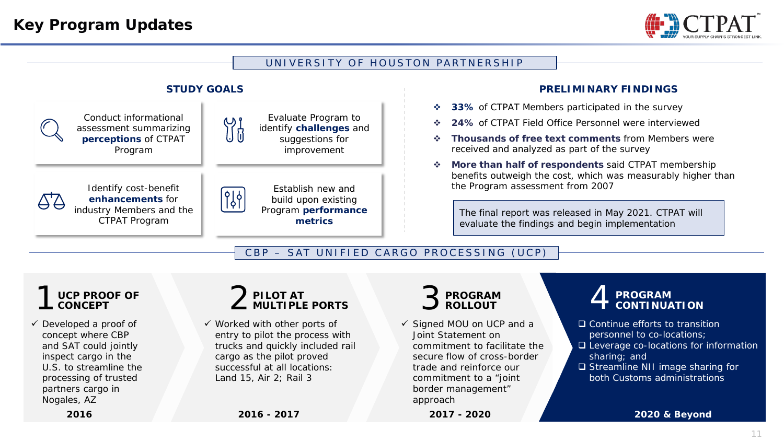

#### UNIVERSITY OF HOUSTON PARTNERSHIP



#### **PRELIMINARY FINDINGS**

- **33%** of CTPAT Members participated in the survey
- **24%** of CTPAT Field Office Personnel were interviewed
- **Thousands of free text comments** from Members were received and analyzed as part of the survey
- **More than half of respondents** said CTPAT membership benefits outweigh the cost, which was measurably higher than the Program assessment from 2007

The final report was released in May 2021. CTPAT will evaluate the findings and begin implementation

CBP – SAT UNIFIED CARGO PROCESSING (UCP)



 $\checkmark$  Developed a proof of concept where CBP and SAT could jointly inspect cargo in the U.S. to streamline the processing of trusted partners cargo in Nogales, AZ

#### 2 **PILOT AT MULTIPLE PORTS**

 $\checkmark$  Worked with other ports of entry to pilot the process with trucks and quickly included rail cargo as the pilot proved successful at all locations: Land 15, Air 2; Rail 3

#### 3 **PROGRAM ROLLOUT**

**2017 - 2020**

 $\checkmark$  Signed MOU on UCP and a Joint Statement on commitment to facilitate the secure flow of cross-border trade and reinforce our commitment to a "joint border management" approach

#### 4 **PROGRAM CONTINUATION**

- □ Continue efforts to transition personnel to co-locations;
- □ Leverage co-locations for information sharing; and
- □ Streamline NII image sharing for both Customs administrations

**2020 & Beyond**

**2016**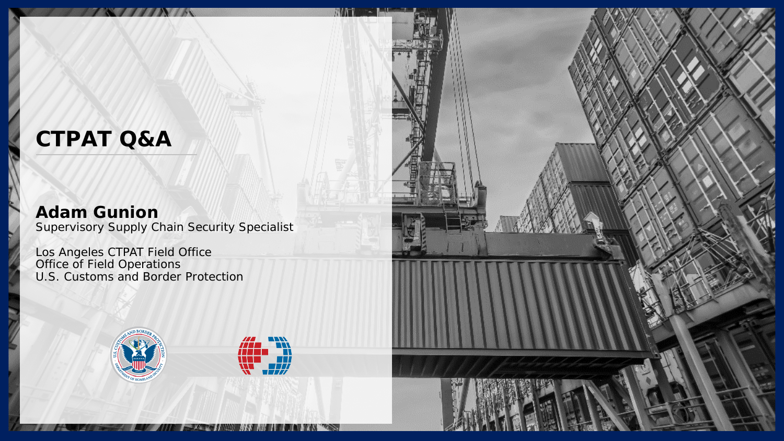### **CTPAT Q&A**

### **Adam Gunion**

Supervisory Supply Chain Security Specialist

 $\mathcal{L}$  As

Los Angeles CTPAT Field Office Office of Field Operations U.S. Customs and Border Protection





**THE REAL PROPERTY AND REAL PROPERTY AND REAL PROPERTY.**